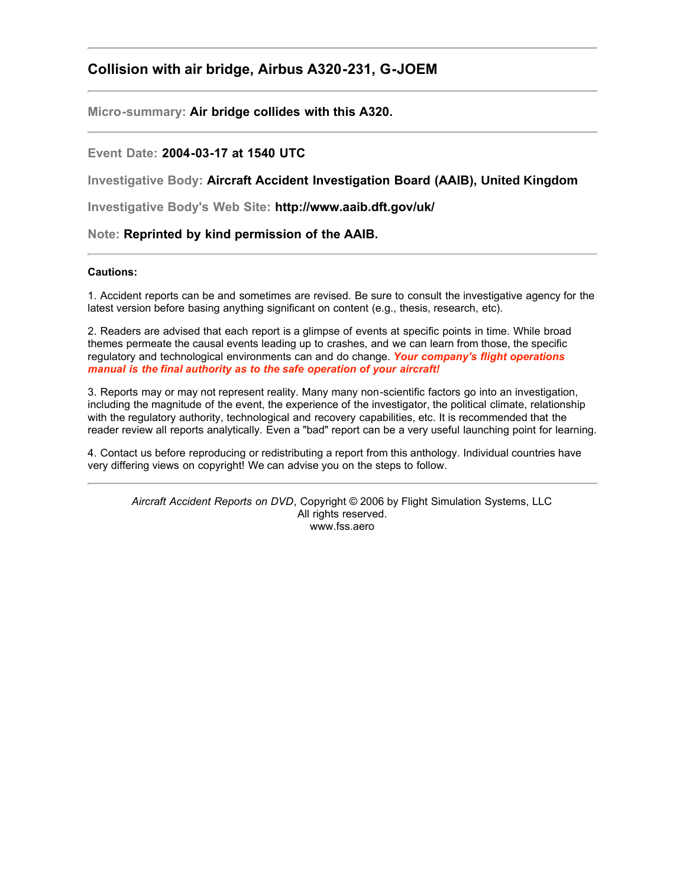# **Collision with air bridge, Airbus A320-231, G-JOEM**

**Micro-summary: Air bridge collides with this A320.**

## **Event Date: 2004-03-17 at 1540 UTC**

**Investigative Body: Aircraft Accident Investigation Board (AAIB), United Kingdom**

**Investigative Body's Web Site: http://www.aaib.dft.gov/uk/**

**Note: Reprinted by kind permission of the AAIB.**

#### **Cautions:**

1. Accident reports can be and sometimes are revised. Be sure to consult the investigative agency for the latest version before basing anything significant on content (e.g., thesis, research, etc).

2. Readers are advised that each report is a glimpse of events at specific points in time. While broad themes permeate the causal events leading up to crashes, and we can learn from those, the specific regulatory and technological environments can and do change. *Your company's flight operations manual is the final authority as to the safe operation of your aircraft!*

3. Reports may or may not represent reality. Many many non-scientific factors go into an investigation, including the magnitude of the event, the experience of the investigator, the political climate, relationship with the regulatory authority, technological and recovery capabilities, etc. It is recommended that the reader review all reports analytically. Even a "bad" report can be a very useful launching point for learning.

4. Contact us before reproducing or redistributing a report from this anthology. Individual countries have very differing views on copyright! We can advise you on the steps to follow.

*Aircraft Accident Reports on DVD*, Copyright © 2006 by Flight Simulation Systems, LLC All rights reserved. www.fss.aero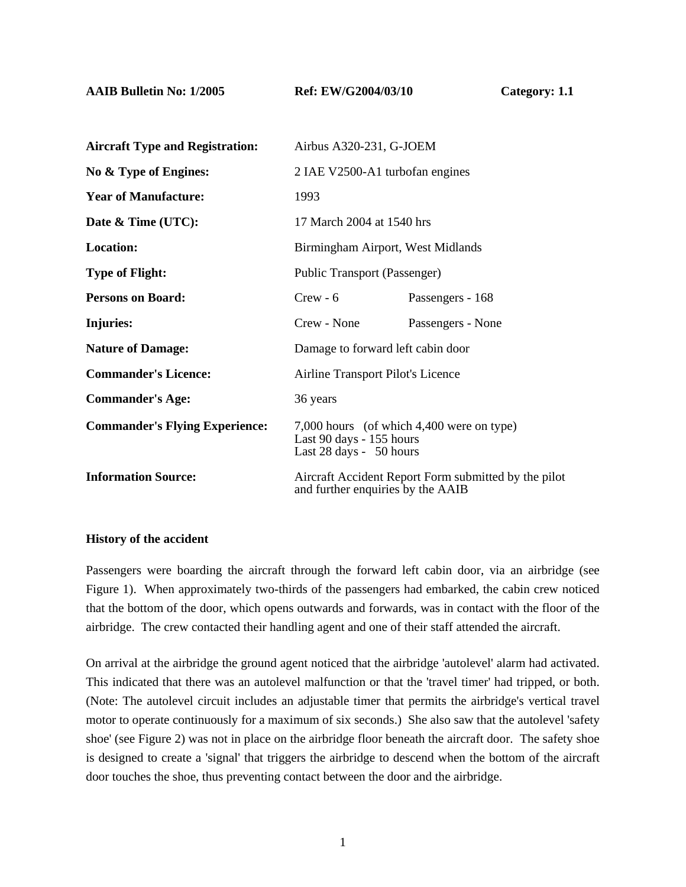**AAIB Bulletin No: 1/2005 Ref: EW/G2004/03/10 Category: 1.1** 

| <b>Aircraft Type and Registration:</b> | Airbus A320-231, G-JOEM                                                                          |                   |
|----------------------------------------|--------------------------------------------------------------------------------------------------|-------------------|
| No & Type of Engines:                  | 2 IAE V2500-A1 turbofan engines                                                                  |                   |
| <b>Year of Manufacture:</b>            | 1993                                                                                             |                   |
| Date & Time (UTC):                     | 17 March 2004 at 1540 hrs                                                                        |                   |
| <b>Location:</b>                       | Birmingham Airport, West Midlands                                                                |                   |
| <b>Type of Flight:</b>                 | <b>Public Transport (Passenger)</b>                                                              |                   |
| <b>Persons on Board:</b>               | $Crew - 6$                                                                                       | Passengers - 168  |
| Injuries:                              | Crew - None                                                                                      | Passengers - None |
| <b>Nature of Damage:</b>               | Damage to forward left cabin door                                                                |                   |
| <b>Commander's Licence:</b>            | Airline Transport Pilot's Licence                                                                |                   |
| <b>Commander's Age:</b>                | 36 years                                                                                         |                   |
| <b>Commander's Flying Experience:</b>  | 7,000 hours (of which 4,400 were on type)<br>Last 90 days - 155 hours<br>Last 28 days - 50 hours |                   |
| <b>Information Source:</b>             | Aircraft Accident Report Form submitted by the pilot<br>and further enquiries by the AAIB        |                   |

#### **History of the accident**

Passengers were boarding the aircraft through the forward left cabin door, via an airbridge (see Figure 1). When approximately two-thirds of the passengers had embarked, the cabin crew noticed that the bottom of the door, which opens outwards and forwards, was in contact with the floor of the airbridge. The crew contacted their handling agent and one of their staff attended the aircraft.

On arrival at the airbridge the ground agent noticed that the airbridge 'autolevel' alarm had activated. This indicated that there was an autolevel malfunction or that the 'travel timer' had tripped, or both. (Note: The autolevel circuit includes an adjustable timer that permits the airbridge's vertical travel motor to operate continuously for a maximum of six seconds.) She also saw that the autolevel 'safety shoe' (see Figure 2) was not in place on the airbridge floor beneath the aircraft door. The safety shoe is designed to create a 'signal' that triggers the airbridge to descend when the bottom of the aircraft door touches the shoe, thus preventing contact between the door and the airbridge.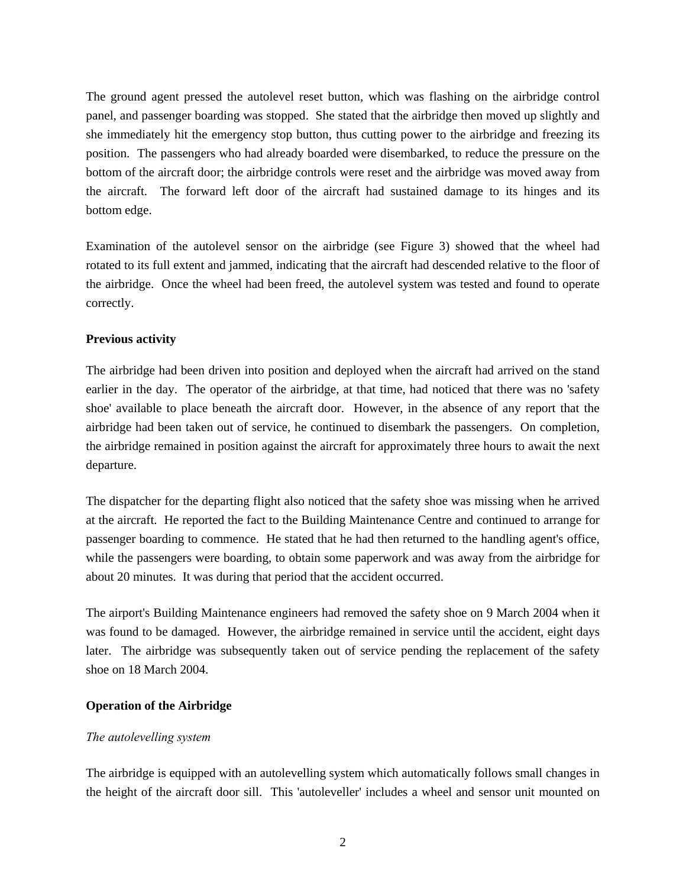The ground agent pressed the autolevel reset button, which was flashing on the airbridge control panel, and passenger boarding was stopped. She stated that the airbridge then moved up slightly and she immediately hit the emergency stop button, thus cutting power to the airbridge and freezing its position. The passengers who had already boarded were disembarked, to reduce the pressure on the bottom of the aircraft door; the airbridge controls were reset and the airbridge was moved away from the aircraft. The forward left door of the aircraft had sustained damage to its hinges and its bottom edge.

Examination of the autolevel sensor on the airbridge (see Figure 3) showed that the wheel had rotated to its full extent and jammed, indicating that the aircraft had descended relative to the floor of the airbridge. Once the wheel had been freed, the autolevel system was tested and found to operate correctly.

## **Previous activity**

The airbridge had been driven into position and deployed when the aircraft had arrived on the stand earlier in the day. The operator of the airbridge, at that time, had noticed that there was no 'safety shoe' available to place beneath the aircraft door. However, in the absence of any report that the airbridge had been taken out of service, he continued to disembark the passengers. On completion, the airbridge remained in position against the aircraft for approximately three hours to await the next departure.

The dispatcher for the departing flight also noticed that the safety shoe was missing when he arrived at the aircraft. He reported the fact to the Building Maintenance Centre and continued to arrange for passenger boarding to commence. He stated that he had then returned to the handling agent's office, while the passengers were boarding, to obtain some paperwork and was away from the airbridge for about 20 minutes. It was during that period that the accident occurred.

The airport's Building Maintenance engineers had removed the safety shoe on 9 March 2004 when it was found to be damaged. However, the airbridge remained in service until the accident, eight days later. The airbridge was subsequently taken out of service pending the replacement of the safety shoe on 18 March 2004.

# **Operation of the Airbridge**

## *The autolevelling system*

The airbridge is equipped with an autolevelling system which automatically follows small changes in the height of the aircraft door sill. This 'autoleveller' includes a wheel and sensor unit mounted on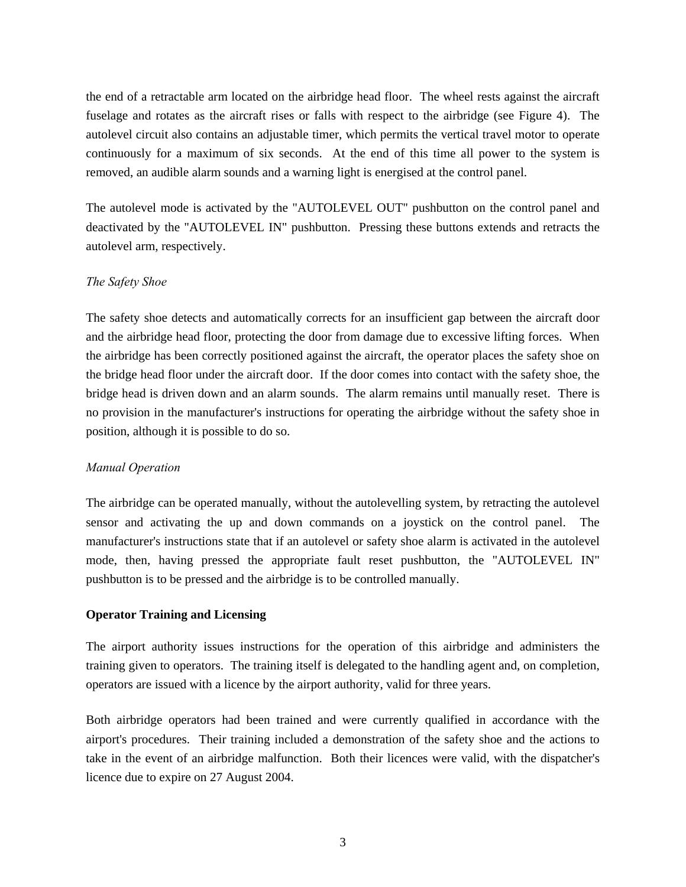the end of a retractable arm located on the airbridge head floor. The wheel rests against the aircraft fuselage and rotates as the aircraft rises or falls with respect to the airbridge (see Figure 4). The autolevel circuit also contains an adjustable timer, which permits the vertical travel motor to operate continuously for a maximum of six seconds. At the end of this time all power to the system is removed, an audible alarm sounds and a warning light is energised at the control panel.

The autolevel mode is activated by the "AUTOLEVEL OUT" pushbutton on the control panel and deactivated by the "AUTOLEVEL IN" pushbutton. Pressing these buttons extends and retracts the autolevel arm, respectively.

## *The Safety Shoe*

The safety shoe detects and automatically corrects for an insufficient gap between the aircraft door and the airbridge head floor, protecting the door from damage due to excessive lifting forces. When the airbridge has been correctly positioned against the aircraft, the operator places the safety shoe on the bridge head floor under the aircraft door. If the door comes into contact with the safety shoe, the bridge head is driven down and an alarm sounds. The alarm remains until manually reset. There is no provision in the manufacturer's instructions for operating the airbridge without the safety shoe in position, although it is possible to do so.

## *Manual Operation*

The airbridge can be operated manually, without the autolevelling system, by retracting the autolevel sensor and activating the up and down commands on a joystick on the control panel. The manufacturer's instructions state that if an autolevel or safety shoe alarm is activated in the autolevel mode, then, having pressed the appropriate fault reset pushbutton, the "AUTOLEVEL IN" pushbutton is to be pressed and the airbridge is to be controlled manually.

## **Operator Training and Licensing**

The airport authority issues instructions for the operation of this airbridge and administers the training given to operators. The training itself is delegated to the handling agent and, on completion, operators are issued with a licence by the airport authority, valid for three years.

Both airbridge operators had been trained and were currently qualified in accordance with the airport's procedures. Their training included a demonstration of the safety shoe and the actions to take in the event of an airbridge malfunction. Both their licences were valid, with the dispatcher's licence due to expire on 27 August 2004.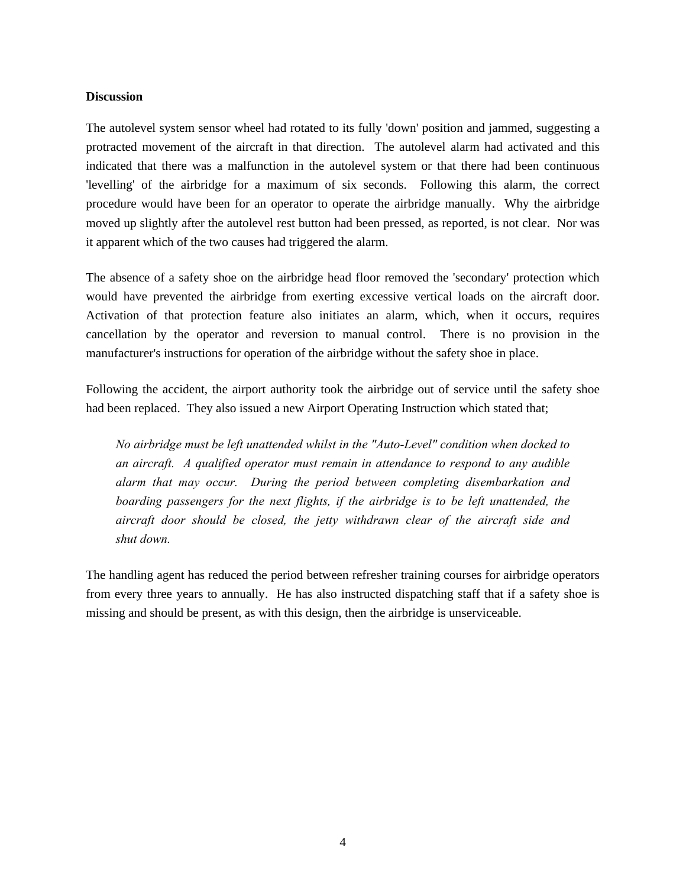#### **Discussion**

The autolevel system sensor wheel had rotated to its fully 'down' position and jammed, suggesting a protracted movement of the aircraft in that direction. The autolevel alarm had activated and this indicated that there was a malfunction in the autolevel system or that there had been continuous 'levelling' of the airbridge for a maximum of six seconds. Following this alarm, the correct procedure would have been for an operator to operate the airbridge manually. Why the airbridge moved up slightly after the autolevel rest button had been pressed, as reported, is not clear. Nor was it apparent which of the two causes had triggered the alarm.

The absence of a safety shoe on the airbridge head floor removed the 'secondary' protection which would have prevented the airbridge from exerting excessive vertical loads on the aircraft door. Activation of that protection feature also initiates an alarm, which, when it occurs, requires cancellation by the operator and reversion to manual control. There is no provision in the manufacturer's instructions for operation of the airbridge without the safety shoe in place.

Following the accident, the airport authority took the airbridge out of service until the safety shoe had been replaced. They also issued a new Airport Operating Instruction which stated that;

*No airbridge must be left unattended whilst in the "Auto-Level" condition when docked to an aircraft. A qualified operator must remain in attendance to respond to any audible alarm that may occur. During the period between completing disembarkation and boarding passengers for the next flights, if the airbridge is to be left unattended, the aircraft door should be closed, the jetty withdrawn clear of the aircraft side and shut down.* 

The handling agent has reduced the period between refresher training courses for airbridge operators from every three years to annually. He has also instructed dispatching staff that if a safety shoe is missing and should be present, as with this design, then the airbridge is unserviceable.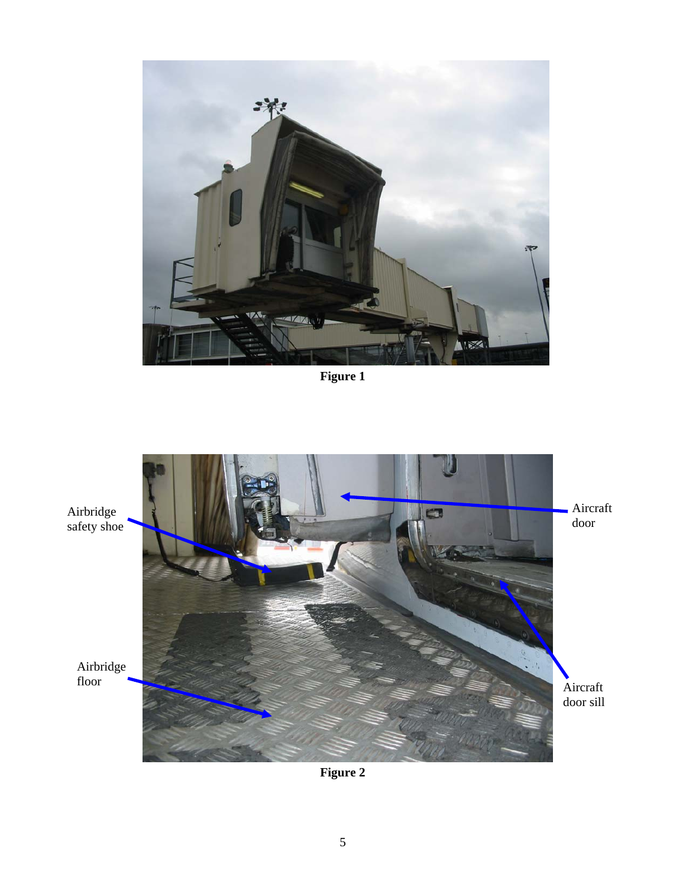

**Figure 1** 



**Figure 2**